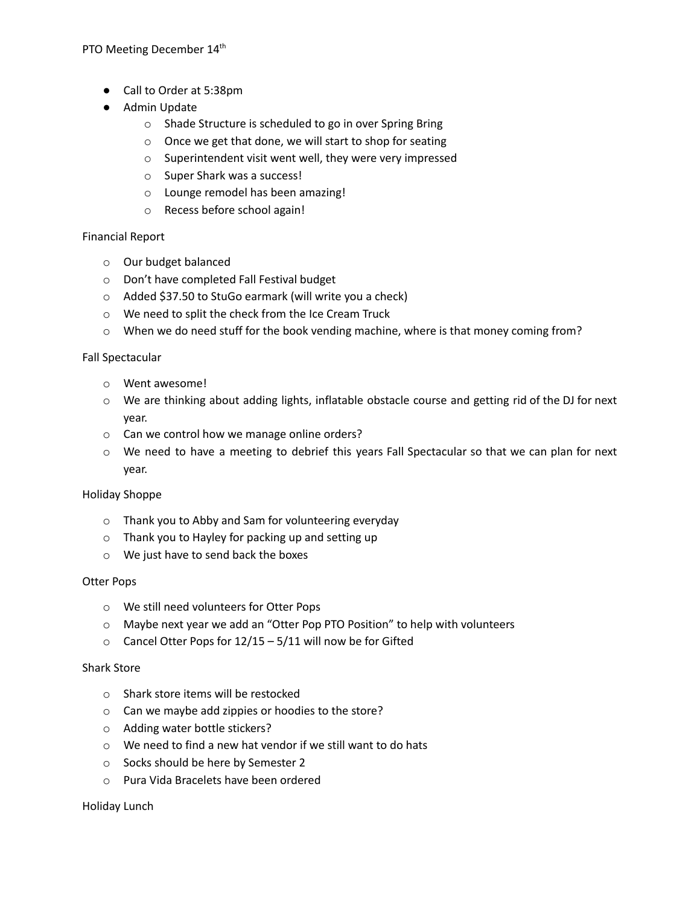PTO Meeting December 14<sup>th</sup>

- Call to Order at 5:38pm
- Admin Update
	- o Shade Structure is scheduled to go in over Spring Bring
	- o Once we get that done, we will start to shop for seating
	- o Superintendent visit went well, they were very impressed
	- o Super Shark was a success!
	- o Lounge remodel has been amazing!
	- o Recess before school again!

## Financial Report

- o Our budget balanced
- o Don't have completed Fall Festival budget
- o Added \$37.50 to StuGo earmark (will write you a check)
- o We need to split the check from the Ice Cream Truck
- o When we do need stuff for the book vending machine, where is that money coming from?

## Fall Spectacular

- o Went awesome!
- o We are thinking about adding lights, inflatable obstacle course and getting rid of the DJ for next year.
- o Can we control how we manage online orders?
- o We need to have a meeting to debrief this years Fall Spectacular so that we can plan for next year.

## Holiday Shoppe

- o Thank you to Abby and Sam for volunteering everyday
- o Thank you to Hayley for packing up and setting up
- o We just have to send back the boxes

#### Otter Pops

- o We still need volunteers for Otter Pops
- o Maybe next year we add an "Otter Pop PTO Position" to help with volunteers
- $\circ$  Cancel Otter Pops for 12/15 5/11 will now be for Gifted

#### Shark Store

- o Shark store items will be restocked
- o Can we maybe add zippies or hoodies to the store?
- o Adding water bottle stickers?
- o We need to find a new hat vendor if we still want to do hats
- o Socks should be here by Semester 2
- o Pura Vida Bracelets have been ordered

#### Holiday Lunch